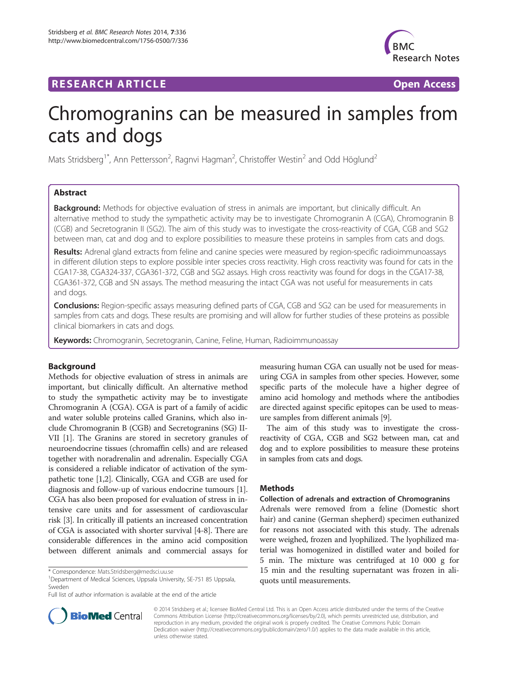# **RESEARCH ARTICLE Example 2018 12:00 Department of the CONNECTION CONNECTION CONNECTION CONNECTION**



# Chromogranins can be measured in samples from cats and dogs

Mats Stridsberg<sup>1\*</sup>, Ann Pettersson<sup>2</sup>, Ragnvi Hagman<sup>2</sup>, Christoffer Westin<sup>2</sup> and Odd Höglund<sup>2</sup>

# Abstract

Background: Methods for objective evaluation of stress in animals are important, but clinically difficult. An alternative method to study the sympathetic activity may be to investigate Chromogranin A (CGA), Chromogranin B (CGB) and Secretogranin II (SG2). The aim of this study was to investigate the cross-reactivity of CGA, CGB and SG2 between man, cat and dog and to explore possibilities to measure these proteins in samples from cats and dogs.

Results: Adrenal gland extracts from feline and canine species were measured by region-specific radioimmunoassays in different dilution steps to explore possible inter species cross reactivity. High cross reactivity was found for cats in the CGA17-38, CGA324-337, CGA361-372, CGB and SG2 assays. High cross reactivity was found for dogs in the CGA17-38, CGA361-372, CGB and SN assays. The method measuring the intact CGA was not useful for measurements in cats and dogs.

**Conclusions:** Region-specific assays measuring defined parts of CGA, CGB and SG2 can be used for measurements in samples from cats and dogs. These results are promising and will allow for further studies of these proteins as possible clinical biomarkers in cats and dogs.

Keywords: Chromogranin, Secretogranin, Canine, Feline, Human, Radioimmunoassay

# Background

Methods for objective evaluation of stress in animals are important, but clinically difficult. An alternative method to study the sympathetic activity may be to investigate Chromogranin A (CGA). CGA is part of a family of acidic and water soluble proteins called Granins, which also include Chromogranin B (CGB) and Secretogranins (SG) II-VII [\[1\]](#page-3-0). The Granins are stored in secretory granules of neuroendocrine tissues (chromaffin cells) and are released together with noradrenalin and adrenalin. Especially CGA is considered a reliable indicator of activation of the sympathetic tone [[1](#page-3-0),[2](#page-3-0)]. Clinically, CGA and CGB are used for diagnosis and follow-up of various endocrine tumours [[1](#page-3-0)]. CGA has also been proposed for evaluation of stress in intensive care units and for assessment of cardiovascular risk [\[3](#page-3-0)]. In critically ill patients an increased concentration of CGA is associated with shorter survival [[4-8\]](#page-3-0). There are considerable differences in the amino acid composition between different animals and commercial assays for

measuring human CGA can usually not be used for measuring CGA in samples from other species. However, some specific parts of the molecule have a higher degree of amino acid homology and methods where the antibodies are directed against specific epitopes can be used to measure samples from different animals [\[9](#page-3-0)].

The aim of this study was to investigate the crossreactivity of CGA, CGB and SG2 between man, cat and dog and to explore possibilities to measure these proteins in samples from cats and dogs.

# **Methods**

#### Collection of adrenals and extraction of Chromogranins

Adrenals were removed from a feline (Domestic short hair) and canine (German shepherd) specimen euthanized for reasons not associated with this study. The adrenals were weighed, frozen and lyophilized. The lyophilized material was homogenized in distilled water and boiled for 5 min. The mixture was centrifuged at 10 000 g for 15 min and the resulting supernatant was frozen in aliquots until measurements.



© 2014 Stridsberg et al.; licensee BioMed Central Ltd. This is an Open Access article distributed under the terms of the Creative Commons Attribution License [\(http://creativecommons.org/licenses/by/2.0\)](http://creativecommons.org/licenses/by/2.0), which permits unrestricted use, distribution, and reproduction in any medium, provided the original work is properly credited. The Creative Commons Public Domain Dedication waiver [\(http://creativecommons.org/publicdomain/zero/1.0/](http://creativecommons.org/publicdomain/zero/1.0/)) applies to the data made available in this article, unless otherwise stated.

<sup>\*</sup> Correspondence: [Mats.Stridsberg@medsci.uu.se](mailto:Mats.Stridsberg@medsci.uu.se) <sup>1</sup>

<sup>&</sup>lt;sup>1</sup>Department of Medical Sciences, Uppsala University, SE-751 85 Uppsala, Sweden

Full list of author information is available at the end of the article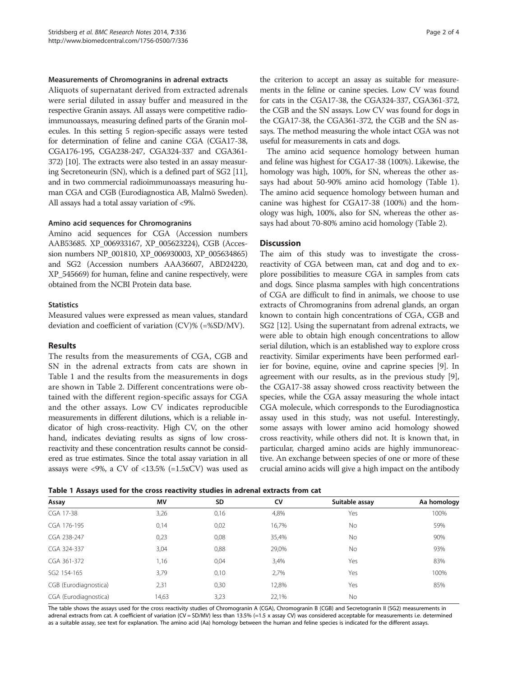#### Measurements of Chromogranins in adrenal extracts

Aliquots of supernatant derived from extracted adrenals were serial diluted in assay buffer and measured in the respective Granin assays. All assays were competitive radioimmunoassays, measuring defined parts of the Granin molecules. In this setting 5 region-specific assays were tested for determination of feline and canine CGA (CGA17-38, CGA176-195, CGA238-247, CGA324-337 and CGA361- 372) [[10](#page-3-0)]. The extracts were also tested in an assay measuring Secretoneurin (SN), which is a defined part of SG2 [\[11](#page-3-0)], and in two commercial radioimmunoassays measuring human CGA and CGB (Eurodiagnostica AB, Malmö Sweden). All assays had a total assay variation of <9%.

#### Amino acid sequences for Chromogranins

Amino acid sequences for CGA (Accession numbers AAB53685. XP\_006933167, XP\_005623224), CGB (Accession numbers NP\_001810, XP\_006930003, XP\_005634865) and SG2 (Accession numbers AAA36607, ABD24220, XP\_545669) for human, feline and canine respectively, were obtained from the NCBI Protein data base.

# **Statistics**

Measured values were expressed as mean values, standard deviation and coefficient of variation (CV)% (=%SD/MV).

# Results

The results from the measurements of CGA, CGB and SN in the adrenal extracts from cats are shown in Table 1 and the results from the measurements in dogs are shown in Table [2.](#page-2-0) Different concentrations were obtained with the different region-specific assays for CGA and the other assays. Low CV indicates reproducible measurements in different dilutions, which is a reliable indicator of high cross-reactivity. High CV, on the other hand, indicates deviating results as signs of low crossreactivity and these concentration results cannot be considered as true estimates. Since the total assay variation in all assays were <9%, a CV of <13.5% (=1.5xCV) was used as

the criterion to accept an assay as suitable for measurements in the feline or canine species. Low CV was found for cats in the CGA17-38, the CGA324-337, CGA361-372, the CGB and the SN assays. Low CV was found for dogs in the CGA17-38, the CGA361-372, the CGB and the SN assays. The method measuring the whole intact CGA was not useful for measurements in cats and dogs.

The amino acid sequence homology between human and feline was highest for CGA17-38 (100%). Likewise, the homology was high, 100%, for SN, whereas the other assays had about 50-90% amino acid homology (Table 1). The amino acid sequence homology between human and canine was highest for CGA17-38 (100%) and the homology was high, 100%, also for SN, whereas the other assays had about 70-80% amino acid homology (Table [2](#page-2-0)).

# **Discussion**

The aim of this study was to investigate the crossreactivity of CGA between man, cat and dog and to explore possibilities to measure CGA in samples from cats and dogs. Since plasma samples with high concentrations of CGA are difficult to find in animals, we choose to use extracts of Chromogranins from adrenal glands, an organ known to contain high concentrations of CGA, CGB and SG2 [[12](#page-3-0)]. Using the supernatant from adrenal extracts, we were able to obtain high enough concentrations to allow serial dilution, which is an established way to explore cross reactivity. Similar experiments have been performed earlier for bovine, equine, ovine and caprine species [[9](#page-3-0)]. In agreement with our results, as in the previous study [[9](#page-3-0)], the CGA17-38 assay showed cross reactivity between the species, while the CGA assay measuring the whole intact CGA molecule, which corresponds to the Eurodiagnostica assay used in this study, was not useful. Interestingly, some assays with lower amino acid homology showed cross reactivity, while others did not. It is known that, in particular, charged amino acids are highly immunoreactive. An exchange between species of one or more of these crucial amino acids will give a high impact on the antibody

|  |  | Table 1 Assays used for the cross reactivity studies in adrenal extracts from cat |
|--|--|-----------------------------------------------------------------------------------|
|--|--|-----------------------------------------------------------------------------------|

| Assay                 | MV    | SD   | CV    | Suitable assay | Aa homology |
|-----------------------|-------|------|-------|----------------|-------------|
| CGA 17-38             | 3,26  | 0,16 | 4,8%  | Yes            | 100%        |
| CGA 176-195           | 0,14  | 0,02 | 16,7% | <b>No</b>      | 59%         |
| CGA 238-247           | 0,23  | 0,08 | 35,4% | <b>No</b>      | 90%         |
| CGA 324-337           | 3,04  | 0,88 | 29,0% | <b>No</b>      | 93%         |
| CGA 361-372           | 1,16  | 0,04 | 3,4%  | Yes            | 83%         |
| SG2 154-165           | 3,79  | 0,10 | 2,7%  | Yes            | 100%        |
| CGB (Eurodiagnostica) | 2,31  | 0,30 | 12,8% | Yes            | 85%         |
| CGA (Eurodiagnostica) | 14,63 | 3,23 | 22.1% | <b>No</b>      |             |

The table shows the assays used for the cross reactivity studies of Chromogranin A (CGA), Chromogranin B (CGB) and Secretogranin II (SG2) measurements in adrenal extracts from cat. A coefficient of variation (CV = SD/MV) less than 13.5% (=1.5 x assay CV) was considered acceptable for measurements i.e. determined as a suitable assay, see text for explanation. The amino acid (Aa) homology between the human and feline species is indicated for the different assays.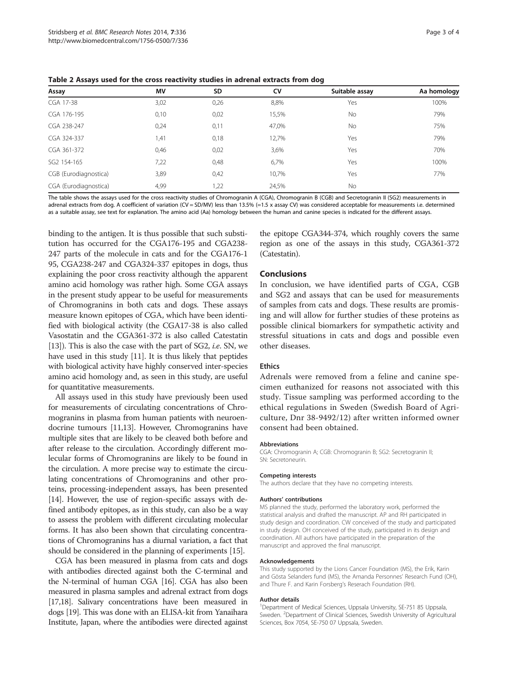| Assay                 | MV   | <b>SD</b> | CV    | Suitable assay | Aa homology |
|-----------------------|------|-----------|-------|----------------|-------------|
| CGA 17-38             | 3,02 | 0,26      | 8,8%  | Yes            | 100%        |
| CGA 176-195           | 0,10 | 0,02      | 15,5% | <b>No</b>      | 79%         |
| CGA 238-247           | 0,24 | 0,11      | 47,0% | <b>No</b>      | 75%         |
| CGA 324-337           | 1,41 | 0,18      | 12,7% | Yes            | 79%         |
| CGA 361-372           | 0,46 | 0,02      | 3,6%  | Yes            | 70%         |
| SG2 154-165           | 7,22 | 0,48      | 6,7%  | Yes            | 100%        |
| CGB (Eurodiagnostica) | 3,89 | 0,42      | 10,7% | Yes            | 77%         |
| CGA (Eurodiagnostica) | 4,99 | 1,22      | 24,5% | <b>No</b>      |             |

<span id="page-2-0"></span>Table 2 Assays used for the cross reactivity studies in adrenal extracts from dog

The table shows the assays used for the cross reactivity studies of Chromogranin A (CGA), Chromogranin B (CGB) and Secretogranin II (SG2) measurements in adrenal extracts from dog. A coefficient of variation (CV = SD/MV) less than 13.5% (=1.5 x assay CV) was considered acceptable for measurements i.e. determined as a suitable assay, see text for explanation. The amino acid (Aa) homology between the human and canine species is indicated for the different assays.

binding to the antigen. It is thus possible that such substitution has occurred for the CGA176-195 and CGA238- 247 parts of the molecule in cats and for the CGA176-1 95, CGA238-247 and CGA324-337 epitopes in dogs, thus explaining the poor cross reactivity although the apparent amino acid homology was rather high. Some CGA assays in the present study appear to be useful for measurements of Chromogranins in both cats and dogs. These assays measure known epitopes of CGA, which have been identified with biological activity (the CGA17-38 is also called Vasostatin and the CGA361-372 is also called Catestatin [[13](#page-3-0)]). This is also the case with the part of SG2, *i.e.* SN, we have used in this study [\[11](#page-3-0)]. It is thus likely that peptides with biological activity have highly conserved inter-species amino acid homology and, as seen in this study, are useful for quantitative measurements.

All assays used in this study have previously been used for measurements of circulating concentrations of Chromogranins in plasma from human patients with neuroendocrine tumours [[11,13\]](#page-3-0). However, Chromogranins have multiple sites that are likely to be cleaved both before and after release to the circulation. Accordingly different molecular forms of Chromogranins are likely to be found in the circulation. A more precise way to estimate the circulating concentrations of Chromogranins and other proteins, processing-independent assays, has been presented [[14](#page-3-0)]. However, the use of region-specific assays with defined antibody epitopes, as in this study, can also be a way to assess the problem with different circulating molecular forms. It has also been shown that circulating concentrations of Chromogranins has a diurnal variation, a fact that should be considered in the planning of experiments [\[15\]](#page-3-0).

CGA has been measured in plasma from cats and dogs with antibodies directed against both the C-terminal and the N-terminal of human CGA [\[16\]](#page-3-0). CGA has also been measured in plasma samples and adrenal extract from dogs [[17,18\]](#page-3-0). Salivary concentrations have been measured in dogs [\[19\]](#page-3-0). This was done with an ELISA-kit from Yanaihara Institute, Japan, where the antibodies were directed against the epitope CGA344-374, which roughly covers the same region as one of the assays in this study, CGA361-372 (Catestatin).

#### Conclusions

In conclusion, we have identified parts of CGA, CGB and SG2 and assays that can be used for measurements of samples from cats and dogs. These results are promising and will allow for further studies of these proteins as possible clinical biomarkers for sympathetic activity and stressful situations in cats and dogs and possible even other diseases.

### Ethics

Adrenals were removed from a feline and canine specimen euthanized for reasons not associated with this study. Tissue sampling was performed according to the ethical regulations in Sweden (Swedish Board of Agriculture, Dnr 38-9492/12) after written informed owner consent had been obtained.

#### Abbreviations

CGA: Chromogranin A; CGB: Chromogranin B; SG2: Secretogranin II; SN: Secretoneurin.

#### Competing interests

The authors declare that they have no competing interests.

#### Authors' contributions

MS planned the study, performed the laboratory work, performed the statistical analysis and drafted the manuscript. AP and RH participated in study design and coordination. CW conceived of the study and participated in study design. OH conceived of the study, participated in its design and coordination. All authors have participated in the preparation of the manuscript and approved the final manuscript.

#### Acknowledgements

This study supported by the Lions Cancer Foundation (MS), the Erik, Karin and Gösta Selanders fund (MS), the Amanda Personnes' Research Fund (OH), and Thure F. and Karin Forsberg's Reserach Foundation (RH).

#### Author details

<sup>1</sup>Department of Medical Sciences, Uppsala University, SE-751 85 Uppsala, Sweden. <sup>2</sup>Department of Clinical Sciences, Swedish University of Agricultural Sciences, Box 7054, SE-750 07 Uppsala, Sweden.